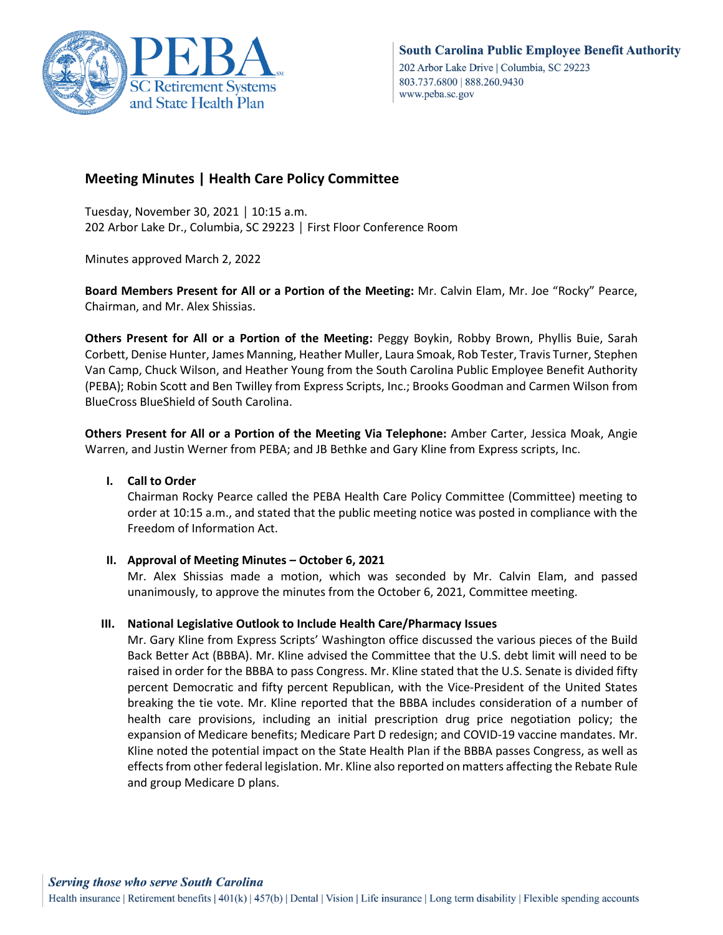

# **Meeting Minutes | Health Care Policy Committee**

Tuesday, November 30, 2021 │ 10:15 a.m. 202 Arbor Lake Dr., Columbia, SC 29223 │ First Floor Conference Room

Minutes approved March 2, 2022

**Board Members Present for All or a Portion of the Meeting:** Mr. Calvin Elam, Mr. Joe "Rocky" Pearce, Chairman, and Mr. Alex Shissias.

**Others Present for All or a Portion of the Meeting:** Peggy Boykin, Robby Brown, Phyllis Buie, Sarah Corbett, Denise Hunter, James Manning, Heather Muller, Laura Smoak, Rob Tester, Travis Turner, Stephen Van Camp, Chuck Wilson, and Heather Young from the South Carolina Public Employee Benefit Authority (PEBA); Robin Scott and Ben Twilley from Express Scripts, Inc.; Brooks Goodman and Carmen Wilson from BlueCross BlueShield of South Carolina.

**Others Present for All or a Portion of the Meeting Via Telephone:** Amber Carter, Jessica Moak, Angie Warren, and Justin Werner from PEBA; and JB Bethke and Gary Kline from Express scripts, Inc.

## **I. Call to Order**

Chairman Rocky Pearce called the PEBA Health Care Policy Committee (Committee) meeting to order at 10:15 a.m., and stated that the public meeting notice was posted in compliance with the Freedom of Information Act.

#### **II. Approval of Meeting Minutes – October 6, 2021**

Mr. Alex Shissias made a motion, which was seconded by Mr. Calvin Elam, and passed unanimously, to approve the minutes from the October 6, 2021, Committee meeting.

#### **III. National Legislative Outlook to Include Health Care/Pharmacy Issues**

Mr. Gary Kline from Express Scripts' Washington office discussed the various pieces of the Build Back Better Act (BBBA). Mr. Kline advised the Committee that the U.S. debt limit will need to be raised in order for the BBBA to pass Congress. Mr. Kline stated that the U.S. Senate is divided fifty percent Democratic and fifty percent Republican, with the Vice-President of the United States breaking the tie vote. Mr. Kline reported that the BBBA includes consideration of a number of health care provisions, including an initial prescription drug price negotiation policy; the expansion of Medicare benefits; Medicare Part D redesign; and COVID-19 vaccine mandates. Mr. Kline noted the potential impact on the State Health Plan if the BBBA passes Congress, as well as effects from other federal legislation. Mr. Kline also reported on matters affecting the Rebate Rule and group Medicare D plans.